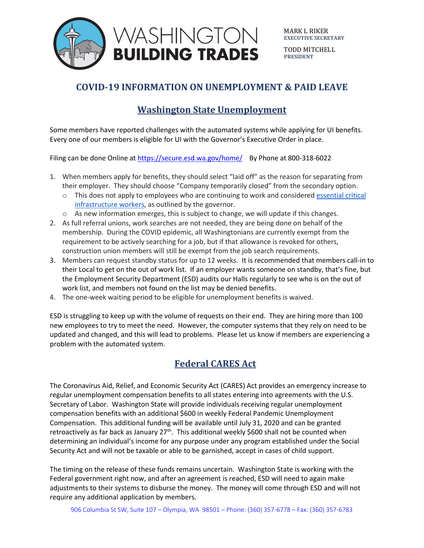

MARK L RIKER **EXECUTIVE SECRETARY**

TODD MITCHELL **PRESIDENT**

## **COVID-19 INFORMATION ON UNEMPLOYMENT & PAID LEAVE**

### **Washington State Unemployment**

Some members have reported challenges with the automated systems while applying for UI benefits. Every one of our members is eligible for UI with the Governor's Executive Order in place.

Filing can be done Online a[t https://secure.esd.wa.gov/home/](https://secure.esd.wa.gov/home/) By Phone at 800-318-6022

- 1. When members apply for benefits, they should select "laid off" as the reason for separating from their employer. They should choose "Company temporarily closed" from the secondary option.
	- $\circ$  This does not apply to employees who are continuing to work and considered [essential](https://www.governor.wa.gov/sites/default/files/WA%20Essential%20Critical%20Infrastructure%20Workers%20%28Final%29.pdf) critical [infrastructure](https://www.governor.wa.gov/sites/default/files/WA%20Essential%20Critical%20Infrastructure%20Workers%20%28Final%29.pdf) workers, as outlined by the governor.
	- $\circ$  As new information emerges, this is subject to change, we will update if this changes.
- 2. As full referral unions, work searches are not needed, they are being done on behalf of the membership. During the COVID epidemic, all Washingtonians are currently exempt from the requirement to be actively searching for a job, but if that allowance is revoked for others, construction union members will still be exempt from the job search requirements.
- 3. Members can request standby status for up to 12 weeks. It is recommended that members call-in to their Local to get on the out of work list. If an employer wants someone on standby, that's fine, but the Employment Security Department (ESD) audits our Halls regularly to see who is on the out of work list, and members not found on the list may be denied benefits.
- 4. The one-week waiting period to be eligible for unemployment benefits is waived.

ESD is struggling to keep up with the volume of requests on their end. They are hiring more than 100 new employees to try to meet the need. However, the computer systems that they rely on need to be updated and changed, and this will lead to problems. Please let us know if members are experiencing a problem with the automated system.

### **Federal CARES Act**

The Coronavirus Aid, Relief, and Economic Security Act (CARES) Act provides an emergency increase to regular unemployment compensation benefits to all states entering into agreements with the U.S. Secretary of Labor. Washington State will provide individuals receiving regular unemployment compensation benefits with an additional \$600 in weekly Federal Pandemic Unemployment Compensation. This additional funding will be available until July 31, 2020 and can be granted retroactively as far back as January  $27<sup>th</sup>$ . This additional weekly \$600 shall not be counted when determining an individual's income for any purpose under any program established under the Social Security Act and will not be taxable or able to be garnished, accept in cases of child support.

The timing on the release of these funds remains uncertain. Washington State is working with the Federal government right now, and after an agreement is reached, ESD will need to again make adjustments to their systems to disburse the money. The money will come through ESD and will not require any additional application by members.